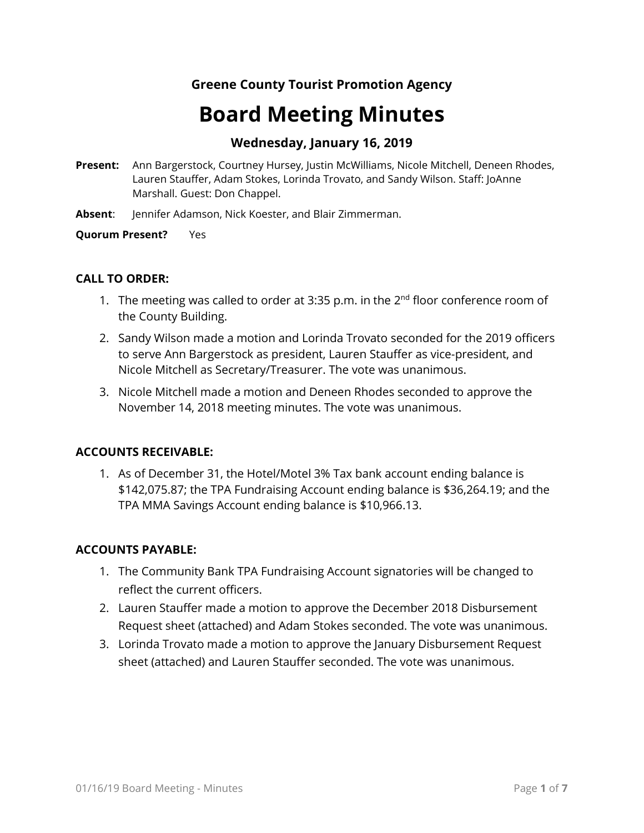# **Greene County Tourist Promotion Agency**

# **Board Meeting Minutes**

## **Wednesday, January 16, 2019**

- **Present:** Ann Bargerstock, Courtney Hursey, Justin McWilliams, Nicole Mitchell, Deneen Rhodes, Lauren Stauffer, Adam Stokes, Lorinda Trovato, and Sandy Wilson. Staff: JoAnne Marshall. Guest: Don Chappel.
- **Absent**: Jennifer Adamson, Nick Koester, and Blair Zimmerman.

#### **Quorum Present?** Yes

#### **CALL TO ORDER:**

- 1. The meeting was called to order at 3:35 p.m. in the  $2<sup>nd</sup>$  floor conference room of the County Building.
- 2. Sandy Wilson made a motion and Lorinda Trovato seconded for the 2019 officers to serve Ann Bargerstock as president, Lauren Stauffer as vice-president, and Nicole Mitchell as Secretary/Treasurer. The vote was unanimous.
- 3. Nicole Mitchell made a motion and Deneen Rhodes seconded to approve the November 14, 2018 meeting minutes. The vote was unanimous.

#### **ACCOUNTS RECEIVABLE:**

1. As of December 31, the Hotel/Motel 3% Tax bank account ending balance is \$142,075.87; the TPA Fundraising Account ending balance is \$36,264.19; and the TPA MMA Savings Account ending balance is \$10,966.13.

#### **ACCOUNTS PAYABLE:**

- 1. The Community Bank TPA Fundraising Account signatories will be changed to reflect the current officers.
- 2. Lauren Stauffer made a motion to approve the December 2018 Disbursement Request sheet (attached) and Adam Stokes seconded. The vote was unanimous.
- 3. Lorinda Trovato made a motion to approve the January Disbursement Request sheet (attached) and Lauren Stauffer seconded. The vote was unanimous.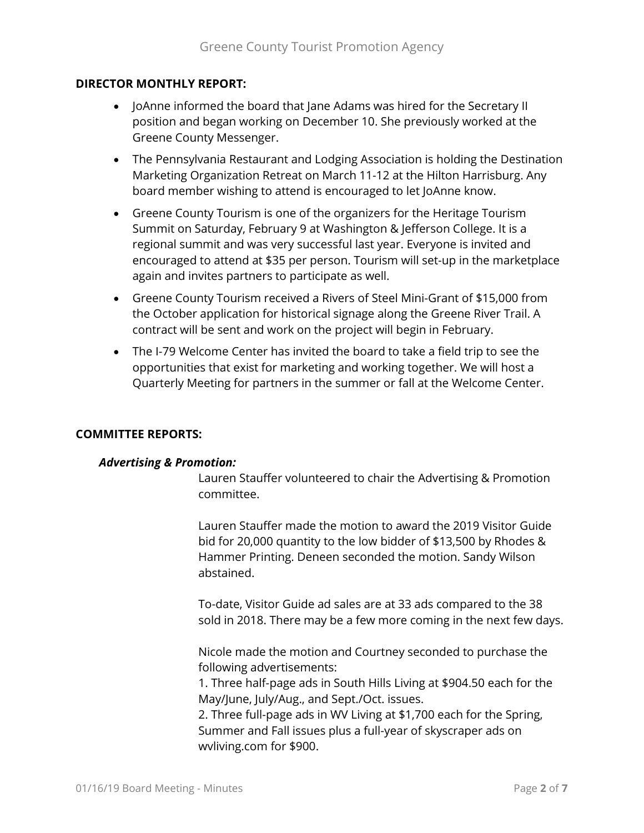#### **DIRECTOR MONTHLY REPORT:**

- JoAnne informed the board that Jane Adams was hired for the Secretary II position and began working on December 10. She previously worked at the Greene County Messenger.
- The Pennsylvania Restaurant and Lodging Association is holding the Destination Marketing Organization Retreat on March 11-12 at the Hilton Harrisburg. Any board member wishing to attend is encouraged to let JoAnne know.
- Greene County Tourism is one of the organizers for the Heritage Tourism Summit on Saturday, February 9 at Washington & Jefferson College. It is a regional summit and was very successful last year. Everyone is invited and encouraged to attend at \$35 per person. Tourism will set-up in the marketplace again and invites partners to participate as well.
- Greene County Tourism received a Rivers of Steel Mini-Grant of \$15,000 from the October application for historical signage along the Greene River Trail. A contract will be sent and work on the project will begin in February.
- The I-79 Welcome Center has invited the board to take a field trip to see the opportunities that exist for marketing and working together. We will host a Quarterly Meeting for partners in the summer or fall at the Welcome Center.

#### **COMMITTEE REPORTS:**

#### *Advertising & Promotion:*

Lauren Stauffer volunteered to chair the Advertising & Promotion committee.

Lauren Stauffer made the motion to award the 2019 Visitor Guide bid for 20,000 quantity to the low bidder of \$13,500 by Rhodes & Hammer Printing. Deneen seconded the motion. Sandy Wilson abstained.

To-date, Visitor Guide ad sales are at 33 ads compared to the 38 sold in 2018. There may be a few more coming in the next few days.

Nicole made the motion and Courtney seconded to purchase the following advertisements:

1. Three half-page ads in South Hills Living at \$904.50 each for the May/June, July/Aug., and Sept./Oct. issues.

2. Three full-page ads in WV Living at \$1,700 each for the Spring, Summer and Fall issues plus a full-year of skyscraper ads on wvliving.com for \$900.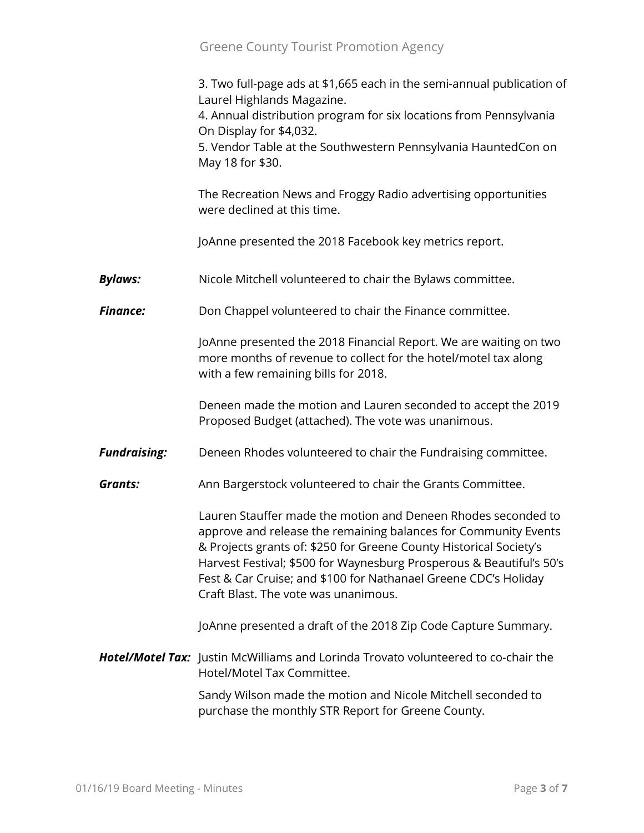3. Two full-page ads at \$1,665 each in the semi-annual publication of Laurel Highlands Magazine. 4. Annual distribution program for six locations from Pennsylvania On Display for \$4,032. 5. Vendor Table at the Southwestern Pennsylvania HauntedCon on May 18 for \$30. The Recreation News and Froggy Radio advertising opportunities were declined at this time. JoAnne presented the 2018 Facebook key metrics report. **Bylaws:** Nicole Mitchell volunteered to chair the Bylaws committee. **Finance:** Don Chappel volunteered to chair the Finance committee. JoAnne presented the 2018 Financial Report. We are waiting on two more months of revenue to collect for the hotel/motel tax along with a few remaining bills for 2018. Deneen made the motion and Lauren seconded to accept the 2019 Proposed Budget (attached). The vote was unanimous. *Fundraising:* Deneen Rhodes volunteered to chair the Fundraising committee. **Grants:** Ann Bargerstock volunteered to chair the Grants Committee. Lauren Stauffer made the motion and Deneen Rhodes seconded to approve and release the remaining balances for Community Events & Projects grants of: \$250 for Greene County Historical Society's Harvest Festival; \$500 for Waynesburg Prosperous & Beautiful's 50's Fest & Car Cruise; and \$100 for Nathanael Greene CDC's Holiday Craft Blast. The vote was unanimous. JoAnne presented a draft of the 2018 Zip Code Capture Summary. *Hotel/Motel Tax:* Justin McWilliams and Lorinda Trovato volunteered to co-chair the Hotel/Motel Tax Committee. Sandy Wilson made the motion and Nicole Mitchell seconded to purchase the monthly STR Report for Greene County.

Greene County Tourist Promotion Agency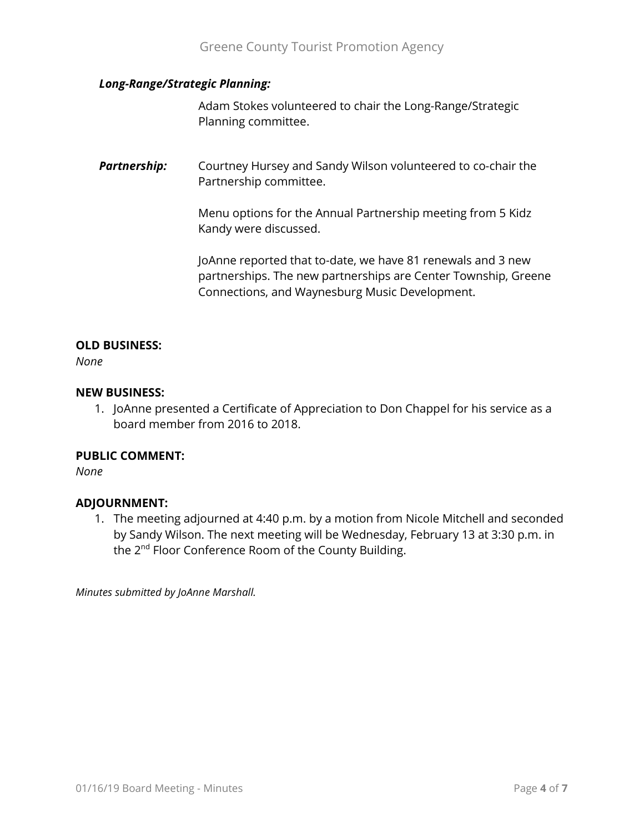#### *Long-Range/Strategic Planning:*

Adam Stokes volunteered to chair the Long-Range/Strategic Planning committee.

**Partnership:** Courtney Hursey and Sandy Wilson volunteered to co-chair the Partnership committee.

> Menu options for the Annual Partnership meeting from 5 Kidz Kandy were discussed.

JoAnne reported that to-date, we have 81 renewals and 3 new partnerships. The new partnerships are Center Township, Greene Connections, and Waynesburg Music Development.

#### **OLD BUSINESS:**

*None*

#### **NEW BUSINESS:**

1. JoAnne presented a Certificate of Appreciation to Don Chappel for his service as a board member from 2016 to 2018.

#### **PUBLIC COMMENT:**

*None*

### **ADJOURNMENT:**

1. The meeting adjourned at 4:40 p.m. by a motion from Nicole Mitchell and seconded by Sandy Wilson. The next meeting will be Wednesday, February 13 at 3:30 p.m. in the 2<sup>nd</sup> Floor Conference Room of the County Building.

*Minutes submitted by JoAnne Marshall.*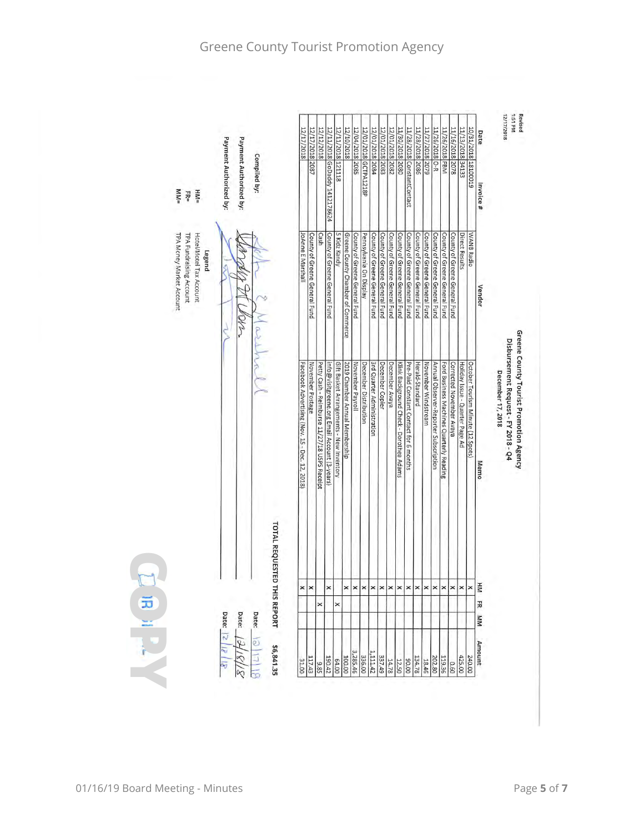| 12/11/2018 GoDaddy 1412178624<br>11/13/2018 34133<br>10/31/20181 820019<br>121118<br> 2080 <br>2078<br>Invoice#<br>$M_{\text{M}} =$<br>$=$ MH<br>품<br>County of Greene General Fund<br>5 Kidz Kandy<br>County of Greene General Fund<br>WANB Radio<br>TPA Money Market Account<br>TPA Fundraising Account<br>Hotel/Motel Tax Account<br>JoAnne E Marshall<br>County of Greene General Fund<br>Pennsylvania On Display<br><b>Direct Results</b><br>Greene County Chamber of Commerce<br>County of Greene General Fund<br>County of Greene General Fund<br>County of Greene General Fund<br>County of Greene General Fund<br>County of Greene General Fund<br>County of Greene General Fund<br>County of Greene General Fund<br>County of Greene General Fund<br>County of Greene General Fund<br>County of Greene General Fund<br>Cash<br>Legend<br>Vendor<br>ar<br>Greene County Tourist Promotion Agency<br>Disbursement Request - FY 2018 - Q4<br>Ford Business Machines Quarterly Reading<br>October Tourism Minute (12 Spots)<br>Facebook Advertising (Nov. 15 - Dec. 12, 2018)<br>Petty Cash - Reimburse 11/27/18 USPS Receipt<br>info@visitgreene.org Email Account (3-years)<br>November Payroll<br>December Distribution<br>3rd Quarter Administration<br>December Copier<br>December Avaya<br>Klink Background Check - Dorothea Adams<br>Pre-Paid Constant Contact for 6 months<br>Herald-Standard<br>November Windstream<br>Corrected November Avaya<br>Holiday Issue - Quarter Page Ad<br>November Postage<br>Gift Basket Arrangements - New Inventory<br>2019 Chamber Annual Membership<br>Annual Observer-Reporter Subscription<br>December 17, 2018<br>Memo | TOTAL REQUESTED THIS REPORT<br>E<br>$\pmb{\times}$<br>$\times$ $\times$<br>$\mathbf{\times}$<br>$\mathsf{\times}$<br>$\times$ $\times$<br>$\times$<br>$\pmb{\times}$<br>×<br>$\pmb{\times}$<br>$\times$ $\times$<br>$\times$<br>$\pmb{\times}$<br>$\times$<br>$\times$<br>×<br>$\frac{1}{2}$<br>끓<br>×<br>×<br>Date:<br>Date:<br>Date:<br>WМ |  |  |                        |                        |              | 12/17/2018 | 12/17/2018 | 12/12/2018 | 12/11/2018<br>12/10/2018 | 12/04/2018 2085 |                       | 12/01/2018 | 12/01/2018 2083 | 12/01/2018 2082<br>11/30/2018 |                            | 11/28/2018 2086 | 11/27/2018 2079 | 11/26/2018 O-R | 11/26/2018 FBM | 11/16/2018 | Date | 12/17/2018 | Revised<br>Md LS:1 |
|---------------------------------------------------------------------------------------------------------------------------------------------------------------------------------------------------------------------------------------------------------------------------------------------------------------------------------------------------------------------------------------------------------------------------------------------------------------------------------------------------------------------------------------------------------------------------------------------------------------------------------------------------------------------------------------------------------------------------------------------------------------------------------------------------------------------------------------------------------------------------------------------------------------------------------------------------------------------------------------------------------------------------------------------------------------------------------------------------------------------------------------------------------------------------------------------------------------------------------------------------------------------------------------------------------------------------------------------------------------------------------------------------------------------------------------------------------------------------------------------------------------------------------------------------------------------------------------------------------------------------------------------------------------------------|----------------------------------------------------------------------------------------------------------------------------------------------------------------------------------------------------------------------------------------------------------------------------------------------------------------------------------------------|--|--|------------------------|------------------------|--------------|------------|------------|------------|--------------------------|-----------------|-----------------------|------------|-----------------|-------------------------------|----------------------------|-----------------|-----------------|----------------|----------------|------------|------|------------|--------------------|
|                                                                                                                                                                                                                                                                                                                                                                                                                                                                                                                                                                                                                                                                                                                                                                                                                                                                                                                                                                                                                                                                                                                                                                                                                                                                                                                                                                                                                                                                                                                                                                                                                                                                           |                                                                                                                                                                                                                                                                                                                                              |  |  | Payment Authorized by: | Payment Authorized by: | Compiled by: |            | 2087       |            |                          |                 | 12/01/2018 GCTPA1218P | 2084       |                 |                               | 11/28/2018 ConstantContact |                 |                 |                |                |            |      |            |                    |
|                                                                                                                                                                                                                                                                                                                                                                                                                                                                                                                                                                                                                                                                                                                                                                                                                                                                                                                                                                                                                                                                                                                                                                                                                                                                                                                                                                                                                                                                                                                                                                                                                                                                           |                                                                                                                                                                                                                                                                                                                                              |  |  |                        |                        |              |            |            |            |                          |                 |                       |            |                 |                               |                            |                 |                 |                |                |            |      |            |                    |
|                                                                                                                                                                                                                                                                                                                                                                                                                                                                                                                                                                                                                                                                                                                                                                                                                                                                                                                                                                                                                                                                                                                                                                                                                                                                                                                                                                                                                                                                                                                                                                                                                                                                           |                                                                                                                                                                                                                                                                                                                                              |  |  |                        |                        |              |            |            |            |                          |                 |                       |            |                 |                               |                            |                 |                 |                |                |            |      |            |                    |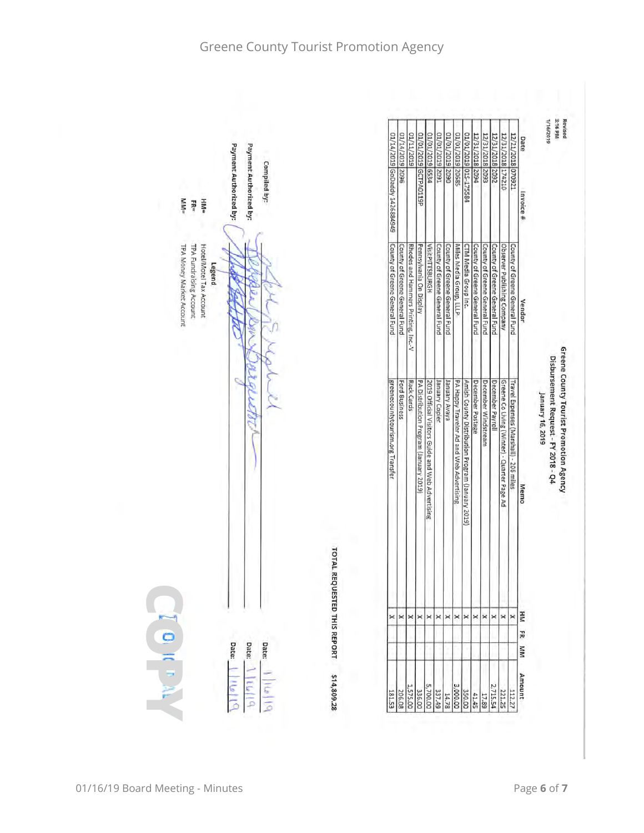| 01/14/2019 GoDaddy 1426884949<br>County of Greene General Fund<br>VisitPITTSBURGH<br>County of Greene General Fund<br>Miles Media Group, LLLP<br>CTM Media Group Inc.<br>County of Greene General Fund<br>County of Greene General Fund<br>County of Greene General Fund<br>Observer Publishing Company<br>County of Greene General Fund<br>Rhodes and Hammers Printing, Inc.-V<br>Pennsylvania On Display<br>County of Greene General Fund<br>County of Greene General Fund<br>Ford Business<br>Rack Cards<br>PA Distribution Program (January 2019)<br>2019 Official Visitors Guide and Web Advertising<br>PA Happy Traveler Ad and Web Advertising<br>December Postage<br>Greene Co Living (Winter) - Quarter Page Ad<br>Travel Expenses (Marshall) - 206 miles<br>greenecountytourism.org Transfer<br>ekeny kuenuer<br>Amish County Distribution Program (January 2019)<br>December Windstream<br>December Payroll<br>January Copier | Vendor<br>Memo<br>×<br>$\times$ $\times$<br>$\times$ $\times$<br>$\times$ $\times$<br>$\boldsymbol{\times}$<br>×<br>$\boldsymbol{\times}$<br>$\pmb{\times}$<br>ER<br>MM |
|------------------------------------------------------------------------------------------------------------------------------------------------------------------------------------------------------------------------------------------------------------------------------------------------------------------------------------------------------------------------------------------------------------------------------------------------------------------------------------------------------------------------------------------------------------------------------------------------------------------------------------------------------------------------------------------------------------------------------------------------------------------------------------------------------------------------------------------------------------------------------------------------------------------------------------------|-------------------------------------------------------------------------------------------------------------------------------------------------------------------------|
|                                                                                                                                                                                                                                                                                                                                                                                                                                                                                                                                                                                                                                                                                                                                                                                                                                                                                                                                          |                                                                                                                                                                         |
|                                                                                                                                                                                                                                                                                                                                                                                                                                                                                                                                                                                                                                                                                                                                                                                                                                                                                                                                          |                                                                                                                                                                         |

Payment Authorized by: Payment Authorized by: Compiled by:  $H M =$ <br> $H R =$ TPA Fundraising Account<br>TPA Money Market Account Hotel/Motel Tax Account Legend